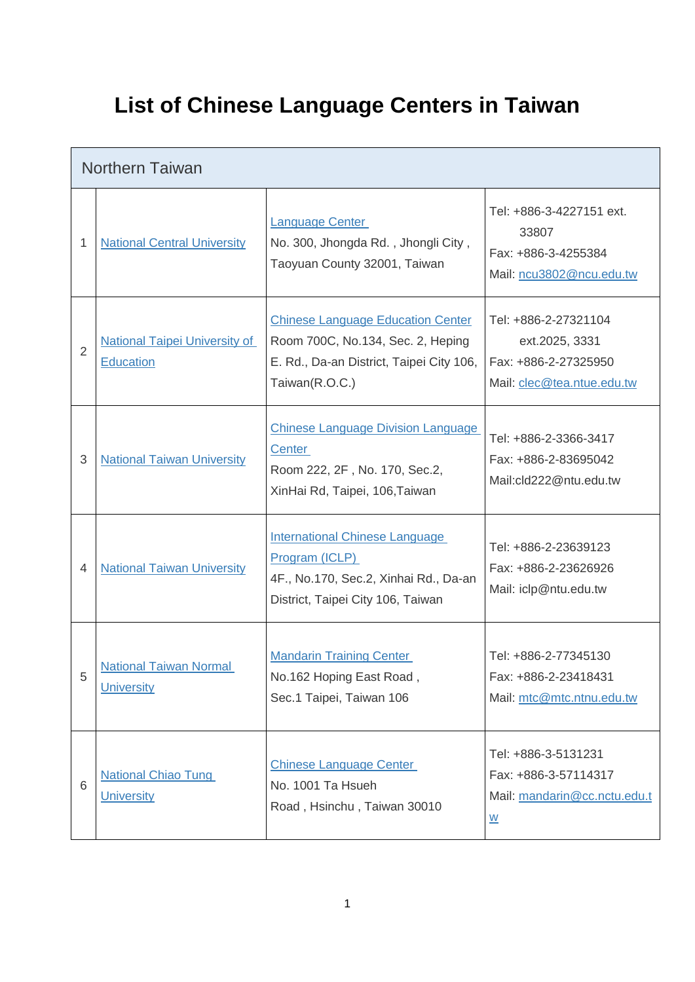## **List of Chinese Language Centers in Taiwan**

|                | <b>Northern Taiwan</b>                                   |                                                                                                                                             |                                                                                                            |  |  |
|----------------|----------------------------------------------------------|---------------------------------------------------------------------------------------------------------------------------------------------|------------------------------------------------------------------------------------------------------------|--|--|
| 1              | <b>National Central University</b>                       | <b>Language Center</b><br>No. 300, Jhongda Rd., Jhongli City,<br>Taoyuan County 32001, Taiwan                                               | Tel: +886-3-4227151 ext.<br>33807<br>Fax: +886-3-4255384<br>Mail: ncu3802@ncu.edu.tw                       |  |  |
| $\overline{2}$ | <b>National Taipei University of</b><br><b>Education</b> | <b>Chinese Language Education Center</b><br>Room 700C, No.134, Sec. 2, Heping<br>E. Rd., Da-an District, Taipei City 106,<br>Taiwan(R.O.C.) | Tel: +886-2-27321104<br>ext.2025, 3331<br>Fax: +886-2-27325950<br>Mail: clec@tea.ntue.edu.tw               |  |  |
| 3              | <b>National Taiwan University</b>                        | <b>Chinese Language Division Language</b><br>Center<br>Room 222, 2F, No. 170, Sec.2,<br>XinHai Rd, Taipei, 106, Taiwan                      | Tel: +886-2-3366-3417<br>Fax: +886-2-83695042<br>Mail:cld222@ntu.edu.tw                                    |  |  |
| $\overline{4}$ | <b>National Taiwan University</b>                        | <b>International Chinese Language</b><br>Program (ICLP)<br>4F., No.170, Sec.2, Xinhai Rd., Da-an<br>District, Taipei City 106, Taiwan       | Tel: +886-2-23639123<br>Fax: +886-2-23626926<br>Mail: iclp@ntu.edu.tw                                      |  |  |
| 5              | <b>National Taiwan Normal</b><br><b>University</b>       | <b>Mandarin Training Center</b><br>No.162 Hoping East Road,<br>Sec.1 Taipei, Taiwan 106                                                     | Tel: +886-2-77345130<br>Fax: +886-2-23418431<br>Mail: mtc@mtc.ntnu.edu.tw                                  |  |  |
| 6              | <b>National Chiao Tung</b><br><b>University</b>          | <b>Chinese Language Center</b><br>No. 1001 Ta Hsueh<br>Road, Hsinchu, Taiwan 30010                                                          | Tel: +886-3-5131231<br>Fax: +886-3-57114317<br>Mail: mandarin@cc.nctu.edu.t<br>$\underline{\underline{w}}$ |  |  |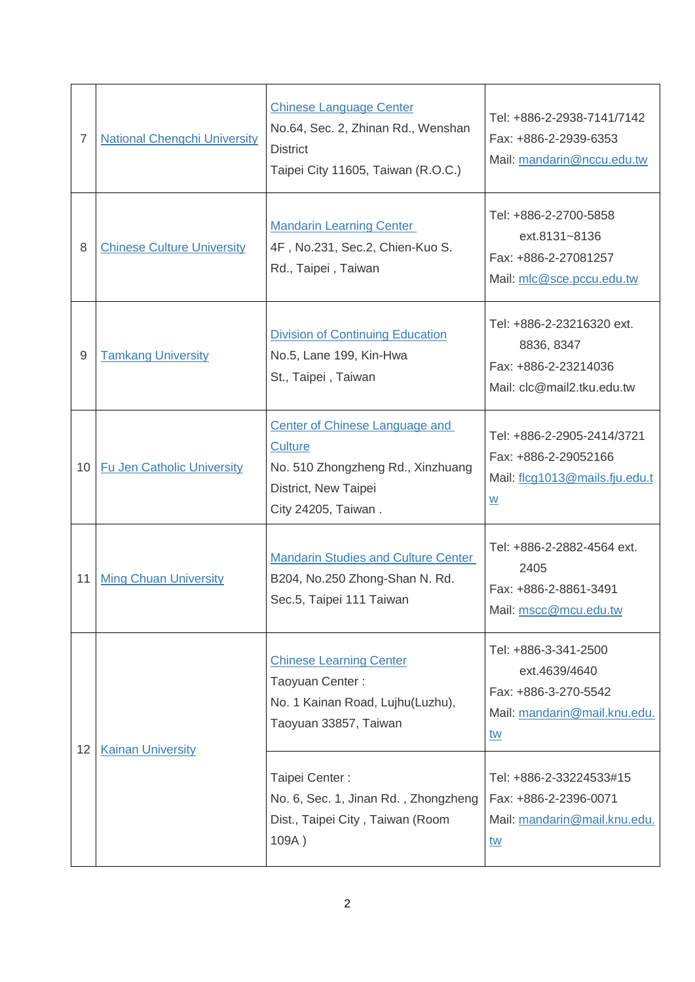| $\overline{7}$  | <b>National Chengchi University</b> | <b>Chinese Language Center</b><br>No.64, Sec. 2, Zhinan Rd., Wenshan<br><b>District</b><br>Taipei City 11605, Taiwan (R.O.C.)        | Tel: +886-2-2938-7141/7142<br>Fax: +886-2-2939-6353<br>Mail: mandarin@nccu.edu.tw                   |
|-----------------|-------------------------------------|--------------------------------------------------------------------------------------------------------------------------------------|-----------------------------------------------------------------------------------------------------|
| 8               | <b>Chinese Culture University</b>   | <b>Mandarin Learning Center</b><br>4F, No.231, Sec.2, Chien-Kuo S.<br>Rd., Taipei, Taiwan                                            | Tel: +886-2-2700-5858<br>ext.8131~8136<br>Fax: +886-2-27081257<br>Mail: mlc@sce.pccu.edu.tw         |
| 9               | <b>Tamkang University</b>           | <b>Division of Continuing Education</b><br>No.5, Lane 199, Kin-Hwa<br>St., Taipei, Taiwan                                            | Tel: +886-2-23216320 ext.<br>8836, 8347<br>Fax: +886-2-23214036<br>Mail: clc@mail2.tku.edu.tw       |
| 10 <sup>°</sup> | <b>Fu Jen Catholic University</b>   | Center of Chinese Language and<br><b>Culture</b><br>No. 510 Zhongzheng Rd., Xinzhuang<br>District, New Taipei<br>City 24205, Taiwan. | Tel: +886-2-2905-2414/3721<br>Fax: +886-2-29052166<br>Mail: flcg1013@mails.fju.edu.t<br>W           |
| 11              | <b>Ming Chuan University</b>        | <b>Mandarin Studies and Culture Center</b><br>B204, No.250 Zhong-Shan N. Rd.<br>Sec.5, Taipei 111 Taiwan                             | Tel: +886-2-2882-4564 ext.<br>2405<br>Fax: +886-2-8861-3491<br>Mail: mscc@mcu.edu.tw                |
| 12              | <b>Kainan University</b>            | <b>Chinese Learning Center</b><br>Taoyuan Center:<br>No. 1 Kainan Road, Lujhu(Luzhu),<br>Taoyuan 33857, Taiwan                       | Tel: +886-3-341-2500<br>ext.4639/4640<br>Fax: +886-3-270-5542<br>Mail: mandarin@mail.knu.edu.<br>tw |
|                 |                                     | Taipei Center:<br>No. 6, Sec. 1, Jinan Rd., Zhongzheng<br>Dist., Taipei City, Taiwan (Room<br>109A)                                  | Tel: +886-2-33224533#15<br>Fax: +886-2-2396-0071<br>Mail: mandarin@mail.knu.edu.<br><u>tw</u>       |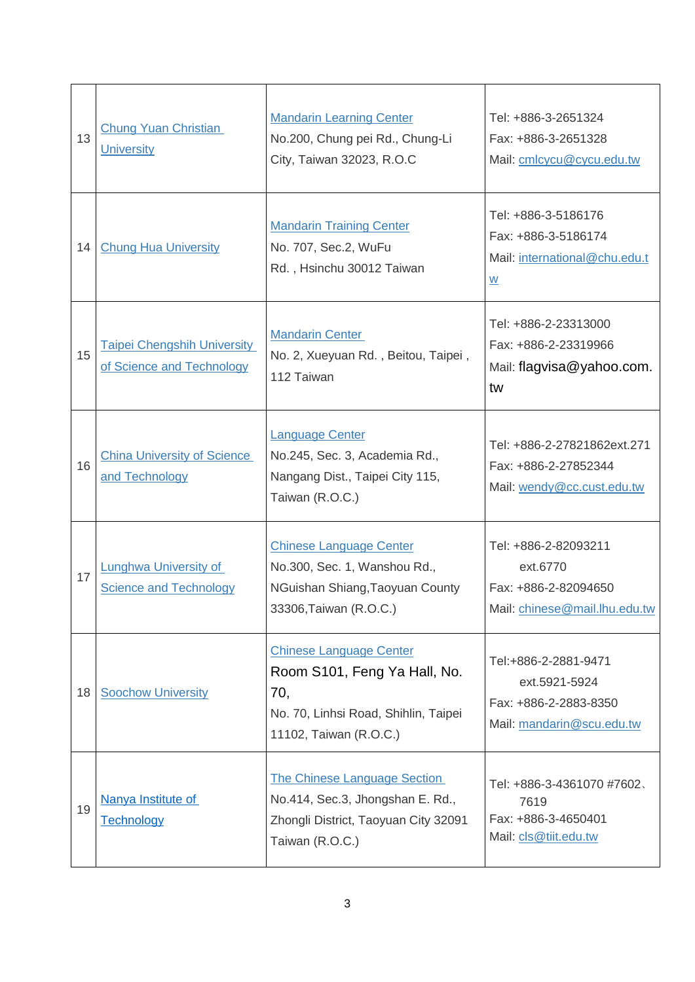| 13 | Chung Yuan Christian<br><b>University</b>                       | <b>Mandarin Learning Center</b><br>No.200, Chung pei Rd., Chung-Li<br>City, Taiwan 32023, R.O.C                                         | Tel: +886-3-2651324<br>Fax: +886-3-2651328<br>Mail: cmlcycu@cycu.edu.tw                                 |
|----|-----------------------------------------------------------------|-----------------------------------------------------------------------------------------------------------------------------------------|---------------------------------------------------------------------------------------------------------|
| 14 | <b>Chung Hua University</b>                                     | <b>Mandarin Training Center</b><br>No. 707, Sec.2, WuFu<br>Rd., Hsinchu 30012 Taiwan                                                    | Tel: +886-3-5186176<br>Fax: +886-3-5186174<br>Mail: international@chu.edu.t<br>$\underline{\mathsf{w}}$ |
| 15 | <b>Taipei Chengshih University</b><br>of Science and Technology | <b>Mandarin Center</b><br>No. 2, Xueyuan Rd., Beitou, Taipei,<br>112 Taiwan                                                             | Tel: +886-2-23313000<br>Fax: +886-2-23319966<br>Mail: flagvisa@yahoo.com.<br>tw                         |
| 16 | <b>China University of Science</b><br>and Technology            | <b>Language Center</b><br>No.245, Sec. 3, Academia Rd.,<br>Nangang Dist., Taipei City 115,<br>Taiwan (R.O.C.)                           | Tel: +886-2-27821862ext.271<br>Fax: +886-2-27852344<br>Mail: wendy@cc.cust.edu.tw                       |
| 17 | Lunghwa University of<br><b>Science and Technology</b>          | <b>Chinese Language Center</b><br>No.300, Sec. 1, Wanshou Rd.,<br>NGuishan Shiang, Taoyuan County<br>33306, Taiwan (R.O.C.)             | Tel: +886-2-82093211<br>ext.6770<br>Fax: +886-2-82094650<br>Mail: chinese@mail.lhu.edu.tw               |
| 18 | <b>Soochow University</b>                                       | <b>Chinese Language Center</b><br>Room S101, Feng Ya Hall, No.<br>70,<br>No. 70, Linhsi Road, Shihlin, Taipei<br>11102, Taiwan (R.O.C.) | Tel:+886-2-2881-9471<br>ext.5921-5924<br>Fax: +886-2-2883-8350<br>Mail: mandarin@scu.edu.tw             |
| 19 | Nanya Institute of<br><b>Technology</b>                         | The Chinese Language Section<br>No.414, Sec.3, Jhongshan E. Rd.,<br>Zhongli District, Taoyuan City 32091<br>Taiwan (R.O.C.)             | Tel: +886-3-4361070 #7602.<br>7619<br>Fax: +886-3-4650401<br>Mail: cls@tiit.edu.tw                      |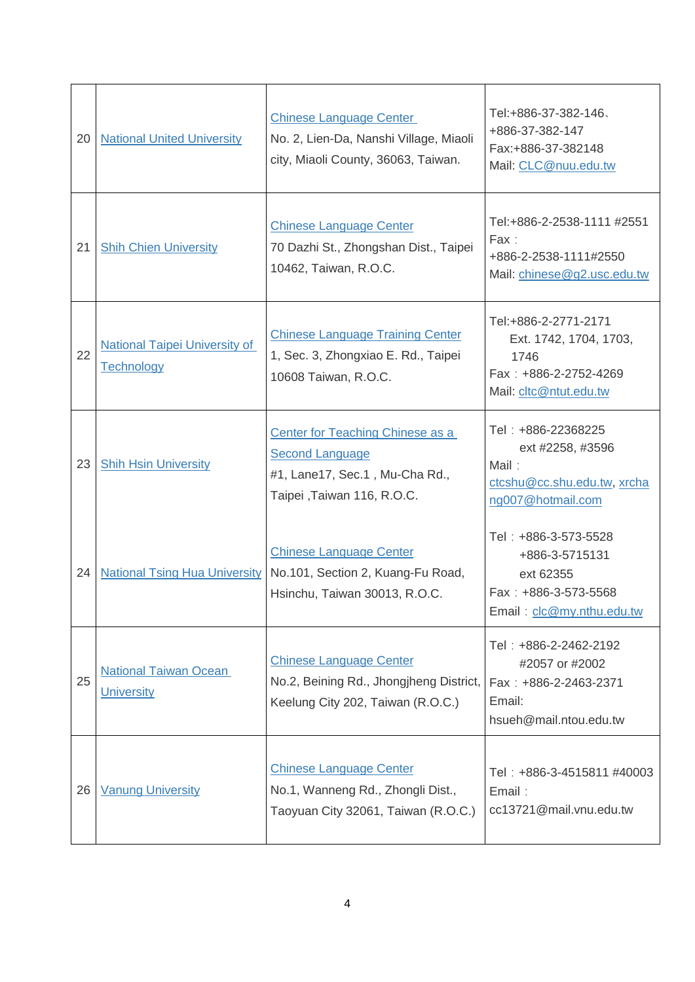| 20 | <b>National United University</b>                  | <b>Chinese Language Center</b><br>No. 2, Lien-Da, Nanshi Village, Miaoli<br>city, Miaoli County, 36063, Taiwan.             | Tel:+886-37-382-146、<br>+886-37-382-147<br>Fax:+886-37-382148<br>Mail: CLC@nuu.edu.tw                     |
|----|----------------------------------------------------|-----------------------------------------------------------------------------------------------------------------------------|-----------------------------------------------------------------------------------------------------------|
| 21 | <b>Shih Chien University</b>                       | <b>Chinese Language Center</b><br>70 Dazhi St., Zhongshan Dist., Taipei<br>10462, Taiwan, R.O.C.                            | Tel:+886-2-2538-1111 #2551<br>Fax:<br>+886-2-2538-1111#2550<br>Mail: chinese@g2.usc.edu.tw                |
| 22 | <b>National Taipei University of</b><br>Technology | <b>Chinese Language Training Center</b><br>1, Sec. 3, Zhongxiao E. Rd., Taipei<br>10608 Taiwan, R.O.C.                      | Tel:+886-2-2771-2171<br>Ext. 1742, 1704, 1703,<br>1746<br>Fax: +886-2-2752-4269<br>Mail: cltc@ntut.edu.tw |
| 23 | <b>Shih Hsin University</b>                        | Center for Teaching Chinese as a<br><b>Second Language</b><br>#1, Lane17, Sec.1, Mu-Cha Rd.,<br>Taipei , Taiwan 116, R.O.C. | Tel: +886-22368225<br>ext #2258, #3596<br>Mail:<br>ctcshu@cc.shu.edu.tw, xrcha<br>ng007@hotmail.com       |
| 24 | <b>National Tsing Hua University</b>               | <b>Chinese Language Center</b><br>No.101, Section 2, Kuang-Fu Road,<br>Hsinchu, Taiwan 30013, R.O.C.                        | Tel: +886-3-573-5528<br>+886-3-5715131<br>ext 62355<br>Fax: +886-3-573-5568<br>Email: clc@my.nthu.edu.tw  |
| 25 | <b>National Taiwan Ocean</b><br><b>University</b>  | <b>Chinese Language Center</b><br>No.2, Beining Rd., Jhongjheng District,<br>Keelung City 202, Taiwan (R.O.C.)              | Tel: +886-2-2462-2192<br>#2057 or #2002<br>Fax: +886-2-2463-2371<br>Email:<br>hsueh@mail.ntou.edu.tw      |
| 26 | <b>Vanung University</b>                           | <b>Chinese Language Center</b><br>No.1, Wanneng Rd., Zhongli Dist.,<br>Taoyuan City 32061, Taiwan (R.O.C.)                  | Tel: +886-3-4515811 #40003<br>Email:<br>cc13721@mail.vnu.edu.tw                                           |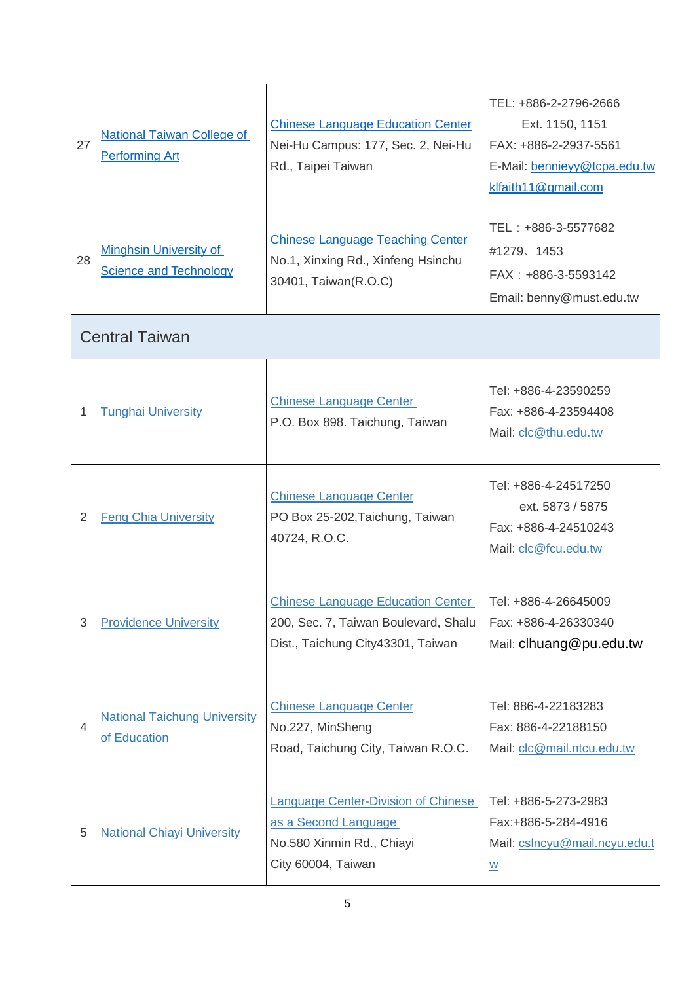| 27             | <b>National Taiwan College of</b><br><b>Performing Art</b>     | <b>Chinese Language Education Center</b><br>Nei-Hu Campus: 177, Sec. 2, Nei-Hu<br>Rd., Taipei Taiwan                  | TEL: +886-2-2796-2666<br>Ext. 1150, 1151<br>FAX: +886-2-2937-5561<br>E-Mail: bennieyy@tcpa.edu.tw<br>klfaith11@gmail.com |
|----------------|----------------------------------------------------------------|-----------------------------------------------------------------------------------------------------------------------|--------------------------------------------------------------------------------------------------------------------------|
| 28             | <b>Minghsin University of</b><br><b>Science and Technology</b> | <b>Chinese Language Teaching Center</b><br>No.1, Xinxing Rd., Xinfeng Hsinchu<br>30401, Taiwan(R.O.C)                 | TEL: +886-3-5577682<br>#1279、1453<br>FAX: +886-3-5593142<br>Email: benny@must.edu.tw                                     |
|                | <b>Central Taiwan</b>                                          |                                                                                                                       |                                                                                                                          |
| 1              | <b>Tunghai University</b>                                      | <b>Chinese Language Center</b><br>P.O. Box 898. Taichung, Taiwan                                                      | Tel: +886-4-23590259<br>Fax: +886-4-23594408<br>Mail: clc@thu.edu.tw                                                     |
| $\overline{2}$ | <b>Feng Chia University</b>                                    | <b>Chinese Language Center</b><br>PO Box 25-202, Taichung, Taiwan<br>40724, R.O.C.                                    | Tel: +886-4-24517250<br>ext. 5873 / 5875<br>Fax: +886-4-24510243<br>Mail: clc@fcu.edu.tw                                 |
| 3              | <b>Providence University</b>                                   | <b>Chinese Language Education Center</b><br>200, Sec. 7, Taiwan Boulevard, Shalu<br>Dist., Taichung City43301, Taiwan | Tel: +886-4-26645009<br>Fax: +886-4-26330340<br>Mail: clhuang@pu.edu.tw                                                  |
| 4              | <b>National Taichung University</b><br>of Education            | <b>Chinese Language Center</b><br>No.227, MinSheng<br>Road, Taichung City, Taiwan R.O.C.                              | Tel: 886-4-22183283<br>Fax: 886-4-22188150<br>Mail: clc@mail.ntcu.edu.tw                                                 |
| 5              | <b>National Chiayi University</b>                              | <b>Language Center-Division of Chinese</b><br>as a Second Language<br>No.580 Xinmin Rd., Chiayi<br>City 60004, Taiwan | Tel: +886-5-273-2983<br>Fax:+886-5-284-4916<br>Mail: cslncyu@mail.ncyu.edu.t<br>$\underline{\mathsf{W}}$                 |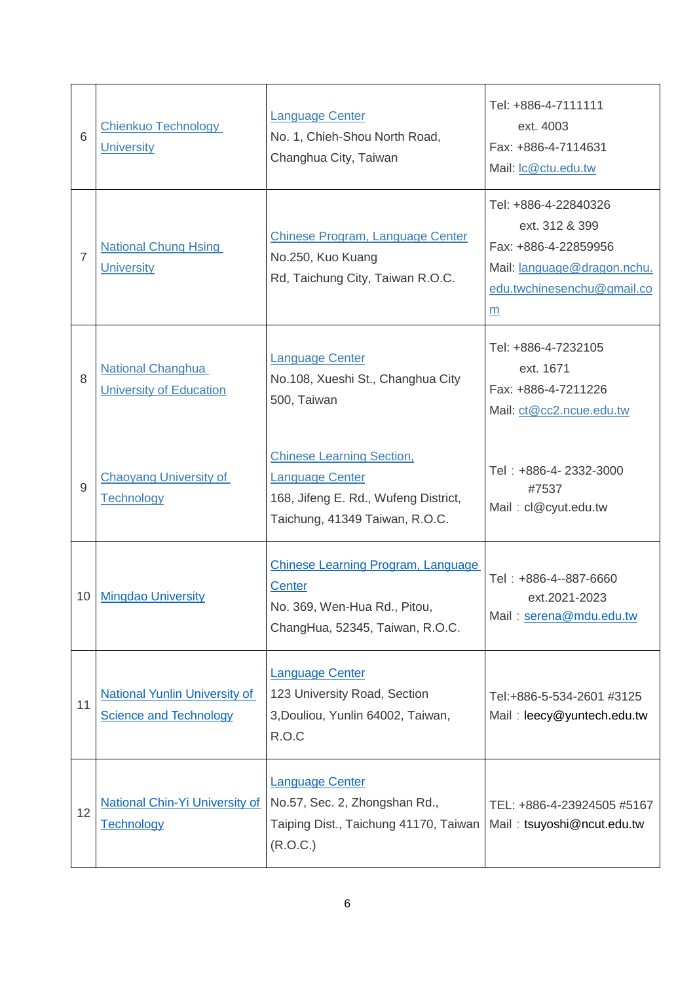| 6               | <b>Chienkuo Technology</b><br><b>University</b>                       | <b>Language Center</b><br>No. 1, Chieh-Shou North Road,<br>Changhua City, Taiwan                                                     | Tel: +886-4-7111111<br>ext. 4003<br>Fax: +886-4-7114631<br>Mail: Ic@ctu.edu.tw                                                   |
|-----------------|-----------------------------------------------------------------------|--------------------------------------------------------------------------------------------------------------------------------------|----------------------------------------------------------------------------------------------------------------------------------|
| 7               | <b>National Chung Hsing</b><br><b>University</b>                      | Chinese Program, Language Center<br>No.250, Kuo Kuang<br>Rd, Taichung City, Taiwan R.O.C.                                            | Tel: +886-4-22840326<br>ext. 312 & 399<br>Fax: +886-4-22859956<br>Mail: language@dragon.nchu.<br>edu.twchinesenchu@gmail.co<br>m |
| 8               | <b>National Changhua</b><br><b>University of Education</b>            | <b>Language Center</b><br>No.108, Xueshi St., Changhua City<br>500, Taiwan                                                           | Tel: +886-4-7232105<br>ext. 1671<br>Fax: +886-4-7211226<br>Mail: ct@cc2.ncue.edu.tw                                              |
| 9               | <b>Chaoyang University of</b><br><b>Technology</b>                    | <b>Chinese Learning Section,</b><br><b>Language Center</b><br>168, Jifeng E. Rd., Wufeng District,<br>Taichung, 41349 Taiwan, R.O.C. | Tel: +886-4-2332-3000<br>#7537<br>Mail: cl@cyut.edu.tw                                                                           |
| 10 <sup>°</sup> | <b>Mingdao University</b>                                             | Chinese Learning Program, Language<br><b>Center</b><br>No. 369, Wen-Hua Rd., Pitou,<br>ChangHua, 52345, Taiwan, R.O.C.               | Tel: +886-4--887-6660<br>ext.2021-2023<br>Mail: serena@mdu.edu.tw                                                                |
| 11              | <b>National Yunlin University of</b><br><b>Science and Technology</b> | <b>Language Center</b><br>123 University Road, Section<br>3, Douliou, Yunlin 64002, Taiwan,<br>R.O.C                                 | Tel:+886-5-534-2601 #3125<br>Mail: leecy@yuntech.edu.tw                                                                          |
| 12              | <b>National Chin-Yi University of</b><br><b>Technology</b>            | <b>Language Center</b><br>No.57, Sec. 2, Zhongshan Rd.,<br>Taiping Dist., Taichung 41170, Taiwan<br>(R.O.C.)                         | TEL: +886-4-23924505 #5167<br>Mail: tsuyoshi@ncut.edu.tw                                                                         |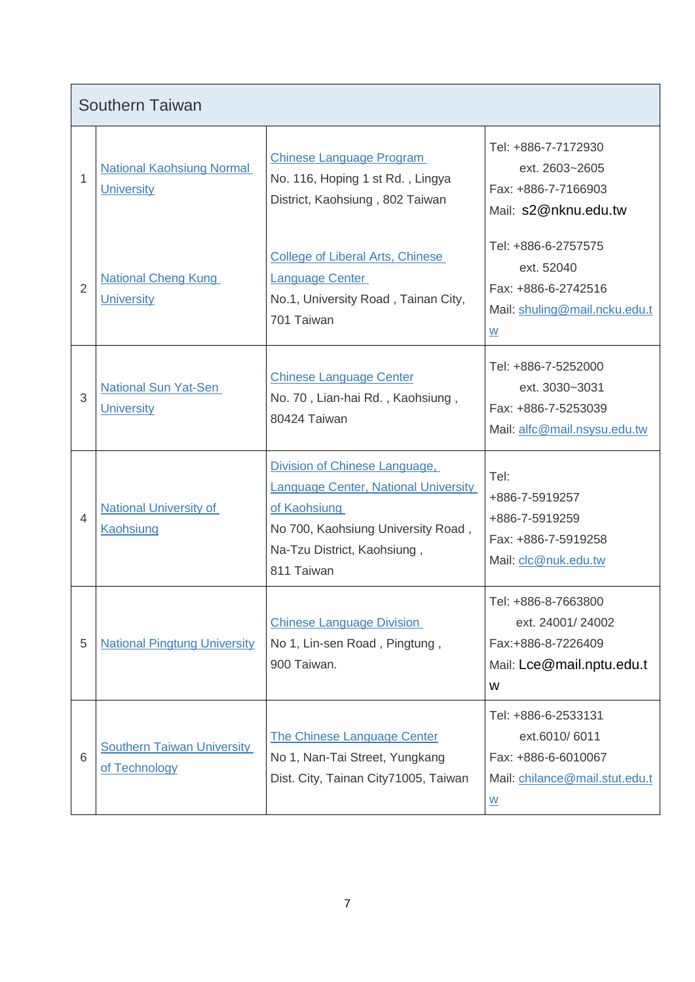|   | <b>Southern Taiwan</b>                                |                                                                                                                                                |                                                                                                 |
|---|-------------------------------------------------------|------------------------------------------------------------------------------------------------------------------------------------------------|-------------------------------------------------------------------------------------------------|
| 1 | <b>National Kaohsiung Normal</b><br><b>University</b> | <b>Chinese Language Program</b><br>No. 116, Hoping 1 st Rd., Lingya<br>District, Kaohsiung, 802 Taiwan                                         | Tel: +886-7-7172930<br>ext. 2603~2605<br>Fax: +886-7-7166903<br>Mail: s2@nknu.edu.tw            |
| 2 | <b>National Cheng Kung</b><br><b>University</b>       | <b>College of Liberal Arts, Chinese</b><br><b>Language Center</b><br>No.1, University Road, Tainan City,<br>701 Taiwan                         | Tel: +886-6-2757575<br>ext. 52040<br>Fax: +886-6-2742516<br>Mail: shuling@mail.ncku.edu.t<br>W  |
| 3 | <b>National Sun Yat-Sen</b><br><b>University</b>      | <b>Chinese Language Center</b><br>No. 70, Lian-hai Rd., Kaohsiung,<br>80424 Taiwan                                                             | Tel: +886-7-5252000<br>ext. 3030~3031<br>Fax: +886-7-5253039<br>Mail: alfc@mail.nsysu.edu.tw    |
|   |                                                       | Division of Chinese Language,                                                                                                                  | Tel:                                                                                            |
| 4 | <b>National University of</b><br><b>Kaohsiung</b>     | <b>Language Center, National University</b><br>of Kaohsiung<br>No 700, Kaohsiung University Road,<br>Na-Tzu District, Kaohsiung,<br>811 Taiwan | +886-7-5919257<br>+886-7-5919259<br>Fax: +886-7-5919258<br>Mail: clc@nuk.edu.tw                 |
| 5 | <b>National Pingtung University</b>                   | <b>Chinese Language Division</b><br>No 1, Lin-sen Road, Pingtung,<br>900 Taiwan.                                                               | Tel: +886-8-7663800<br>ext. 24001/24002<br>Fax:+886-8-7226409<br>Mail: Lce@mail.nptu.edu.t<br>W |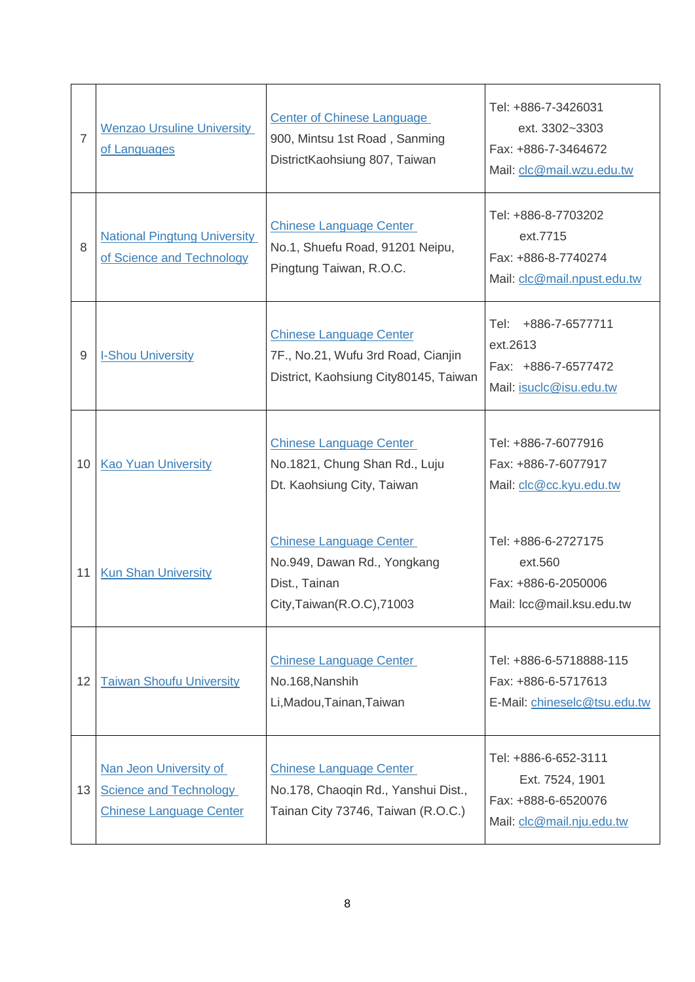| $\overline{7}$ | <b>Wenzao Ursuline University</b><br>of Languages                                         | <b>Center of Chinese Language</b><br>900, Mintsu 1st Road, Sanming<br>DistrictKaohsiung 807, Taiwan           | Tel: +886-7-3426031<br>ext. 3302~3303<br>Fax: +886-7-3464672<br>Mail: clc@mail.wzu.edu.tw   |
|----------------|-------------------------------------------------------------------------------------------|---------------------------------------------------------------------------------------------------------------|---------------------------------------------------------------------------------------------|
| 8              | <b>National Pingtung University</b><br>of Science and Technology                          | <b>Chinese Language Center</b><br>No.1, Shuefu Road, 91201 Neipu,<br>Pingtung Taiwan, R.O.C.                  | Tel: +886-8-7703202<br>ext.7715<br>Fax: +886-8-7740274<br>Mail: clc@mail.npust.edu.tw       |
| $9\,$          | <b>I-Shou University</b>                                                                  | <b>Chinese Language Center</b><br>7F., No.21, Wufu 3rd Road, Cianjin<br>District, Kaohsiung City80145, Taiwan | +886-7-6577711<br>Tel:<br>ext.2613<br>Fax: +886-7-6577472<br>Mail: isuclc@isu.edu.tw        |
| 10             | <b>Kao Yuan University</b>                                                                | <b>Chinese Language Center</b><br>No.1821, Chung Shan Rd., Luju<br>Dt. Kaohsiung City, Taiwan                 | Tel: +886-7-6077916<br>Fax: +886-7-6077917<br>Mail: clc@cc.kyu.edu.tw                       |
| 11             | <b>Kun Shan University</b>                                                                | <b>Chinese Language Center</b><br>No.949, Dawan Rd., Yongkang<br>Dist., Tainan<br>City, Taiwan(R.O.C), 71003  | Tel: +886-6-2727175<br>ext.560<br>Fax: +886-6-2050006<br>Mail: Icc@mail.ksu.edu.tw          |
| 12             | <b>Taiwan Shoufu University</b>                                                           | <b>Chinese Language Center</b><br>No.168, Nanshih<br>Li, Madou, Tainan, Taiwan                                | Tel: +886-6-5718888-115<br>Fax: +886-6-5717613<br>E-Mail: chineselc@tsu.edu.tw              |
| 13             | Nan Jeon University of<br><b>Science and Technology</b><br><b>Chinese Language Center</b> | <b>Chinese Language Center</b><br>No.178, Chaoqin Rd., Yanshui Dist.,<br>Tainan City 73746, Taiwan (R.O.C.)   | Tel: +886-6-652-3111<br>Ext. 7524, 1901<br>Fax: +888-6-6520076<br>Mail: clc@mail.nju.edu.tw |